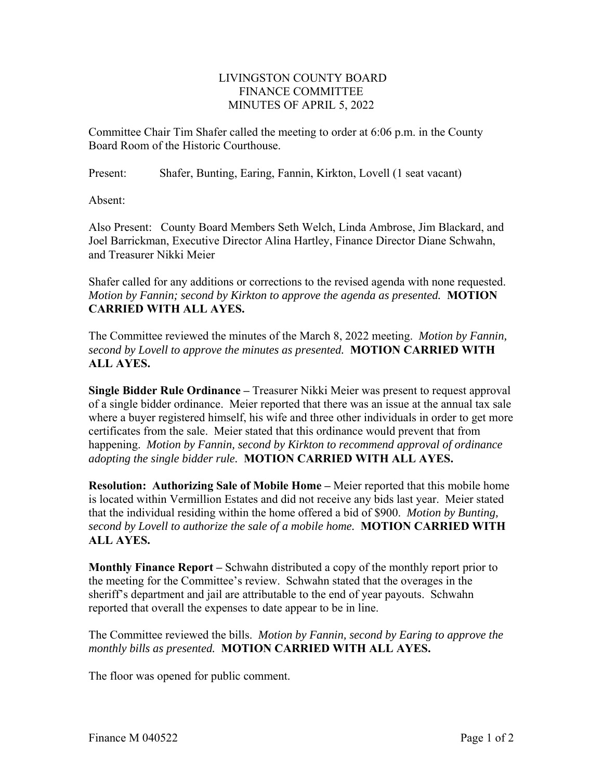## LIVINGSTON COUNTY BOARD FINANCE COMMITTEE MINUTES OF APRIL 5, 2022

Committee Chair Tim Shafer called the meeting to order at 6:06 p.m. in the County Board Room of the Historic Courthouse.

Present: Shafer, Bunting, Earing, Fannin, Kirkton, Lovell (1 seat vacant)

Absent:

Also Present: County Board Members Seth Welch, Linda Ambrose, Jim Blackard, and Joel Barrickman, Executive Director Alina Hartley, Finance Director Diane Schwahn, and Treasurer Nikki Meier

Shafer called for any additions or corrections to the revised agenda with none requested. *Motion by Fannin; second by Kirkton to approve the agenda as presented.* **MOTION CARRIED WITH ALL AYES.** 

The Committee reviewed the minutes of the March 8, 2022 meeting. *Motion by Fannin, second by Lovell to approve the minutes as presented.* **MOTION CARRIED WITH ALL AYES.** 

**Single Bidder Rule Ordinance –** Treasurer Nikki Meier was present to request approval of a single bidder ordinance. Meier reported that there was an issue at the annual tax sale where a buyer registered himself, his wife and three other individuals in order to get more certificates from the sale. Meier stated that this ordinance would prevent that from happening. *Motion by Fannin, second by Kirkton to recommend approval of ordinance adopting the single bidder rule.* **MOTION CARRIED WITH ALL AYES.**

**Resolution: Authorizing Sale of Mobile Home –** Meier reported that this mobile home is located within Vermillion Estates and did not receive any bids last year. Meier stated that the individual residing within the home offered a bid of \$900. *Motion by Bunting, second by Lovell to authorize the sale of a mobile home.* **MOTION CARRIED WITH ALL AYES.** 

**Monthly Finance Report –** Schwahn distributed a copy of the monthly report prior to the meeting for the Committee's review. Schwahn stated that the overages in the sheriff's department and jail are attributable to the end of year payouts. Schwahn reported that overall the expenses to date appear to be in line.

The Committee reviewed the bills. *Motion by Fannin, second by Earing to approve the monthly bills as presented.* **MOTION CARRIED WITH ALL AYES.**

The floor was opened for public comment.